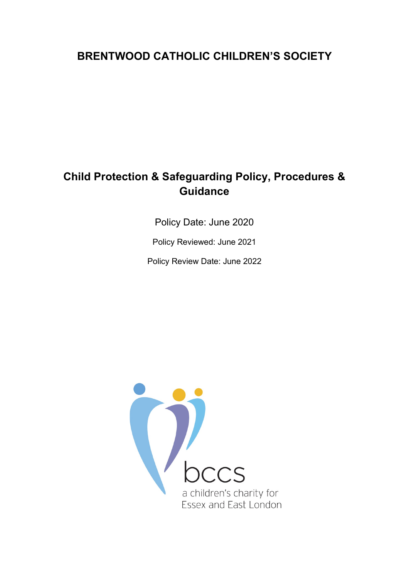# **BRENTWOOD CATHOLIC CHILDREN'S SOCIETY**

# **Child Protection & Safeguarding Policy, Procedures & Guidance**

Policy Date: June 2020

Policy Reviewed: June 2021

Policy Review Date: June 2022

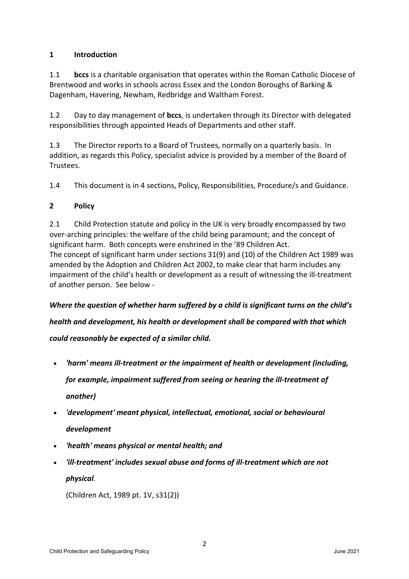# **1 Introduction**

1.1 **bccs** is a charitable organisation that operates within the Roman Catholic Diocese of Brentwood and works in schools across Essex and the London Boroughs of Barking & Dagenham, Havering, Newham, Redbridge and Waltham Forest.

1.2 Day to day management of **bccs**, is undertaken through its Director with delegated responsibilities through appointed Heads of Departments and other staff.

1.3 The Director reports to a Board of Trustees, normally on a quarterly basis. In addition, as regards this Policy, specialist advice is provided by a member of the Board of Trustees.

1.4 This document is in 4 sections, Policy, Responsibilities, Procedure/s and Guidance.

# **2 Policy**

2.1 Child Protection statute and policy in the UK is very broadly encompassed by two over-arching principles: the welfare of the child being paramount; and the concept of significant harm. Both concepts were enshrined in the '89 Children Act. The concept of significant harm under sections 31(9) and (10) of the Children Act 1989 was amended by the Adoption and Children Act 2002, to make clear that harm includes any impairment of the child's health or development as a result of witnessing the ill-treatment of another person. See below -

*Where the question of whether harm suffered by a child is significant turns on the child's health and development, his health or development shall be compared with that which could reasonably be expected of a similar child.* 

- *'harm' means ill-treatment or the impairment of health or development (including, for example, impairment suffered from seeing or hearing the ill-treatment of another)*
- *'development' meant physical, intellectual, emotional, social or behavioural development*
- *'health' means physical or mental health; and*
- *'ill-treatment' includes sexual abuse and forms of ill-treatment which are not physical*.

(Children Act, 1989 pt. 1V, s31(2))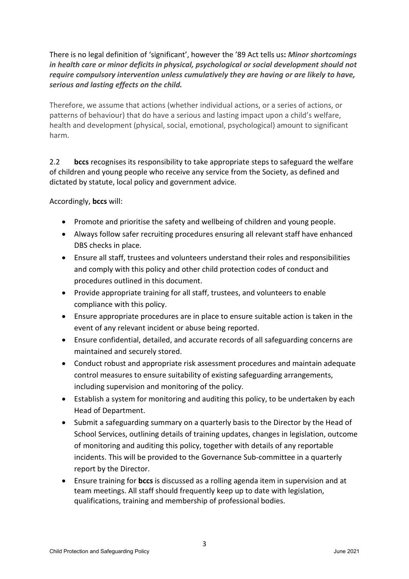There is no legal definition of 'significant', however the '89 Act tells us**:** *Minor shortcomings in health care or minor deficits in physical, psychological or social development should not require compulsory intervention unless cumulatively they are having or are likely to have, serious and lasting effects on the child.*

Therefore, we assume that actions (whether individual actions, or a series of actions, or patterns of behaviour) that do have a serious and lasting impact upon a child's welfare, health and development (physical, social, emotional, psychological) amount to significant harm.

2.2 **bccs** recognises its responsibility to take appropriate steps to safeguard the welfare of children and young people who receive any service from the Society, as defined and dictated by statute, local policy and government advice.

Accordingly, **bccs** will:

- Promote and prioritise the safety and wellbeing of children and young people.
- Always follow safer recruiting procedures ensuring all relevant staff have enhanced DBS checks in place.
- Ensure all staff, trustees and volunteers understand their roles and responsibilities and comply with this policy and other child protection codes of conduct and procedures outlined in this document.
- Provide appropriate training for all staff, trustees, and volunteers to enable compliance with this policy.
- Ensure appropriate procedures are in place to ensure suitable action is taken in the event of any relevant incident or abuse being reported.
- Ensure confidential, detailed, and accurate records of all safeguarding concerns are maintained and securely stored.
- Conduct robust and appropriate risk assessment procedures and maintain adequate control measures to ensure suitability of existing safeguarding arrangements, including supervision and monitoring of the policy.
- Establish a system for monitoring and auditing this policy, to be undertaken by each Head of Department.
- Submit a safeguarding summary on a quarterly basis to the Director by the Head of School Services, outlining details of training updates, changes in legislation, outcome of monitoring and auditing this policy, together with details of any reportable incidents. This will be provided to the Governance Sub-committee in a quarterly report by the Director.
- Ensure training for **bccs** is discussed as a rolling agenda item in supervision and at team meetings. All staff should frequently keep up to date with legislation, qualifications, training and membership of professional bodies.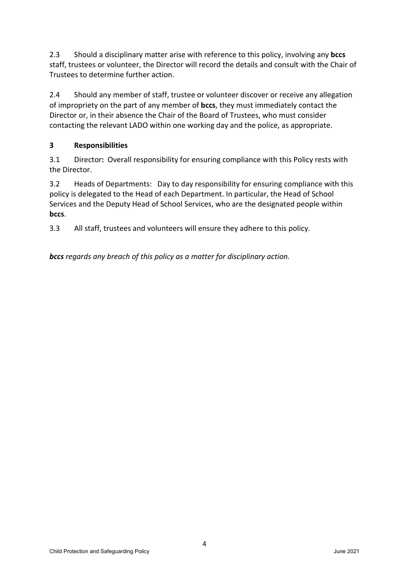2.3 Should a disciplinary matter arise with reference to this policy, involving any **bccs**  staff, trustees or volunteer, the Director will record the details and consult with the Chair of Trustees to determine further action.

2.4 Should any member of staff, trustee or volunteer discover or receive any allegation of impropriety on the part of any member of **bccs**, they must immediately contact the Director or, in their absence the Chair of the Board of Trustees, who must consider contacting the relevant LADO within one working day and the police, as appropriate.

# **3 Responsibilities**

3.1 Director**:** Overall responsibility for ensuring compliance with this Policy rests with the Director.

3.2 Heads of Departments: Day to day responsibility for ensuring compliance with this policy is delegated to the Head of each Department. In particular, the Head of School Services and the Deputy Head of School Services, who are the designated people within **bccs**.

3.3 All staff, trustees and volunteers will ensure they adhere to this policy.

*bccs regards any breach of this policy as a matter for disciplinary action.*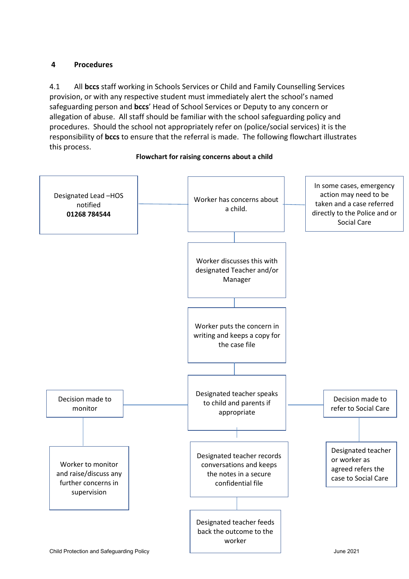## **4 Procedures**

4.1 All **bccs** staff working in Schools Services or Child and Family Counselling Services provision, or with any respective student must immediately alert the school's named safeguarding person and **bccs**' Head of School Services or Deputy to any concern or allegation of abuse. All staff should be familiar with the school safeguarding policy and procedures. Should the school not appropriately refer on (police/social services) it is the responsibility of **bccs** to ensure that the referral is made. The following flowchart illustrates this process.



#### **Flowchart for raising concerns about a child**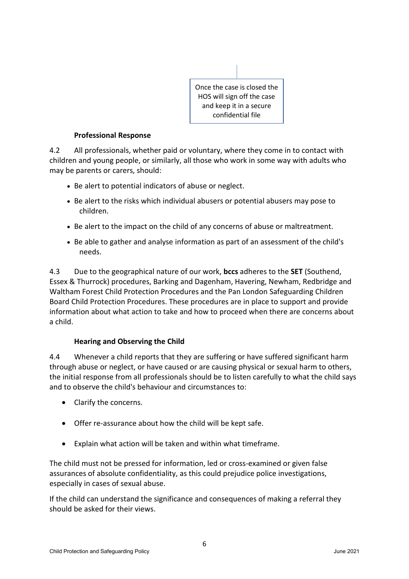

#### **Professional Response**

4.2 All professionals, whether paid or voluntary, where they come in to contact with children and young people, or similarly, all those who work in some way with adults who may be parents or carers, should:

- Be alert to potential indicators of abuse or neglect.
- Be alert to the risks which individual abusers or potential abusers may pose to children.
- Be alert to the impact on the child of any concerns of abuse or maltreatment.
- Be able to gather and analyse information as part of an assessment of the child's needs.

4.3 Due to the geographical nature of our work, **bccs** adheres to the **SET** (Southend, Essex & Thurrock) procedures, Barking and Dagenham, Havering, Newham, Redbridge and Waltham Forest Child Protection Procedures and the Pan London Safeguarding Children Board Child Protection Procedures. These procedures are in place to support and provide information about what action to take and how to proceed when there are concerns about a child.

## **Hearing and Observing the Child**

4.4 Whenever a child reports that they are suffering or have suffered significant harm through abuse or neglect, or have caused or are causing physical or sexual harm to others, the initial response from all professionals should be to listen carefully to what the child says and to observe the child's behaviour and circumstances to:

- Clarify the concerns.
- Offer re-assurance about how the child will be kept safe.
- Explain what action will be taken and within what timeframe.

The child must not be pressed for information, led or cross-examined or given false assurances of absolute confidentiality, as this could prejudice police investigations, especially in cases of sexual abuse.

If the child can understand the significance and consequences of making a referral they should be asked for their views.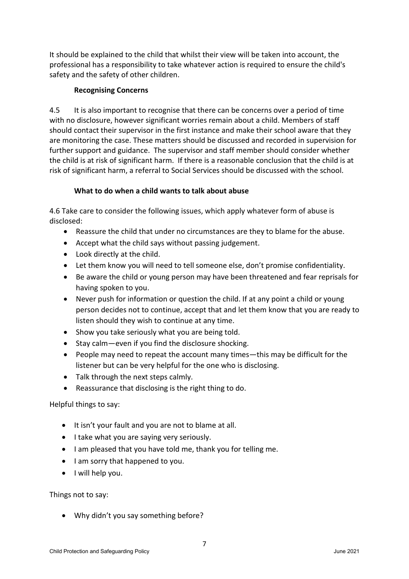It should be explained to the child that whilst their view will be taken into account, the professional has a responsibility to take whatever action is required to ensure the child's safety and the safety of other children.

## **Recognising Concerns**

4.5 It is also important to recognise that there can be concerns over a period of time with no disclosure, however significant worries remain about a child. Members of staff should contact their supervisor in the first instance and make their school aware that they are monitoring the case. These matters should be discussed and recorded in supervision for further support and guidance. The supervisor and staff member should consider whether the child is at risk of significant harm. If there is a reasonable conclusion that the child is at risk of significant harm, a referral to Social Services should be discussed with the school.

## **What to do when a child wants to talk about abuse**

4.6 Take care to consider the following issues, which apply whatever form of abuse is disclosed:

- Reassure the child that under no circumstances are they to blame for the abuse.
- Accept what the child says without passing judgement.
- Look directly at the child.
- Let them know you will need to tell someone else, don't promise confidentiality.
- Be aware the child or young person may have been threatened and fear reprisals for having spoken to you.
- Never push for information or question the child. If at any point a child or young person decides not to continue, accept that and let them know that you are ready to listen should they wish to continue at any time.
- Show you take seriously what you are being told.
- Stay calm—even if you find the disclosure shocking.
- People may need to repeat the account many times—this may be difficult for the listener but can be very helpful for the one who is disclosing.
- Talk through the next steps calmly.
- Reassurance that disclosing is the right thing to do.

# Helpful things to say:

- It isn't your fault and you are not to blame at all.
- I take what you are saying very seriously.
- I am pleased that you have told me, thank you for telling me.
- I am sorry that happened to you.
- I will help you.

Things not to say:

• Why didn't you say something before?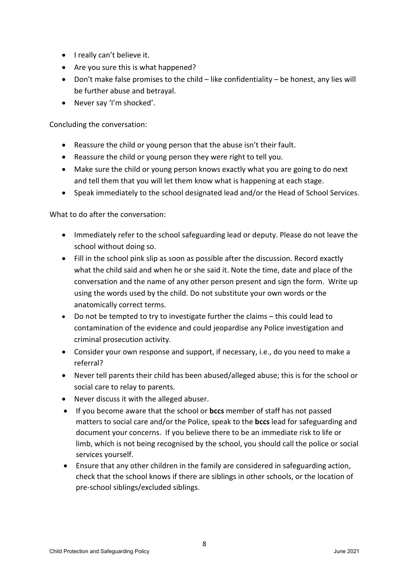- I really can't believe it.
- Are you sure this is what happened?
- Don't make false promises to the child like confidentiality be honest, any lies will be further abuse and betrayal.
- Never say 'I'm shocked'.

Concluding the conversation:

- Reassure the child or young person that the abuse isn't their fault.
- Reassure the child or young person they were right to tell you.
- Make sure the child or young person knows exactly what you are going to do next and tell them that you will let them know what is happening at each stage.
- Speak immediately to the school designated lead and/or the Head of School Services.

What to do after the conversation:

- Immediately refer to the school safeguarding lead or deputy. Please do not leave the school without doing so.
- Fill in the school pink slip as soon as possible after the discussion. Record exactly what the child said and when he or she said it. Note the time, date and place of the conversation and the name of any other person present and sign the form. Write up using the words used by the child. Do not substitute your own words or the anatomically correct terms.
- Do not be tempted to try to investigate further the claims this could lead to contamination of the evidence and could jeopardise any Police investigation and criminal prosecution activity.
- Consider your own response and support, if necessary, i.e., do you need to make a referral?
- Never tell parents their child has been abused/alleged abuse; this is for the school or social care to relay to parents.
- Never discuss it with the alleged abuser.
- If you become aware that the school or **bccs** member of staff has not passed matters to social care and/or the Police, speak to the **bccs** lead for safeguarding and document your concerns. If you believe there to be an immediate risk to life or limb, which is not being recognised by the school, you should call the police or social services yourself.
- Ensure that any other children in the family are considered in safeguarding action, check that the school knows if there are siblings in other schools, or the location of pre-school siblings/excluded siblings.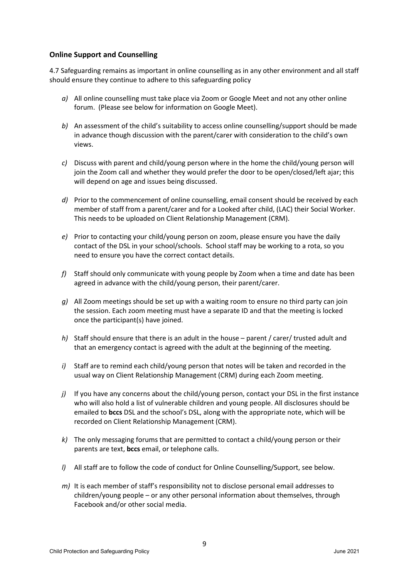#### **Online Support and Counselling**

4.7 Safeguarding remains as important in online counselling as in any other environment and all staff should ensure they continue to adhere to this safeguarding policy

- *a)* All online counselling must take place via Zoom or Google Meet and not any other online forum. (Please see below for information on Google Meet).
- *b)* An assessment of the child's suitability to access online counselling/support should be made in advance though discussion with the parent/carer with consideration to the child's own views.
- *c)* Discuss with parent and child/young person where in the home the child/young person will join the Zoom call and whether they would prefer the door to be open/closed/left ajar; this will depend on age and issues being discussed.
- *d)* Prior to the commencement of online counselling, email consent should be received by each member of staff from a parent/carer and for a Looked after child, (LAC) their Social Worker. This needs to be uploaded on Client Relationship Management (CRM).
- *e)* Prior to contacting your child/young person on zoom, please ensure you have the daily contact of the DSL in your school/schools. School staff may be working to a rota, so you need to ensure you have the correct contact details.
- *f)* Staff should only communicate with young people by Zoom when a time and date has been agreed in advance with the child/young person, their parent/carer.
- *g)* All Zoom meetings should be set up with a waiting room to ensure no third party can join the session. Each zoom meeting must have a separate ID and that the meeting is locked once the participant(s) have joined.
- *h)* Staff should ensure that there is an adult in the house parent / carer/ trusted adult and that an emergency contact is agreed with the adult at the beginning of the meeting.
- *i)* Staff are to remind each child/young person that notes will be taken and recorded in the usual way on Client Relationship Management (CRM) during each Zoom meeting.
- *j)* If you have any concerns about the child/young person, contact your DSL in the first instance who will also hold a list of vulnerable children and young people. All disclosures should be emailed to **bccs** DSL and the school's DSL, along with the appropriate note, which will be recorded on Client Relationship Management (CRM).
- *k)* The only messaging forums that are permitted to contact a child/young person or their parents are text, **bccs** email, or telephone calls.
- *l)* All staff are to follow the code of conduct for Online Counselling/Support, see below.
- *m)* It is each member of staff's responsibility not to disclose personal email addresses to children/young people – or any other personal information about themselves, through Facebook and/or other social media.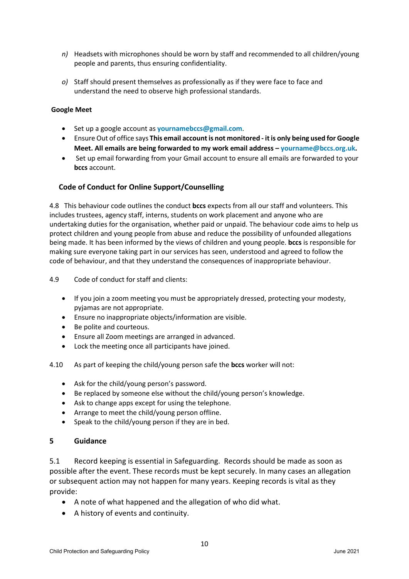- *n)* Headsets with microphones should be worn by staff and recommended to all children/young people and parents, thus ensuring confidentiality.
- *o)* Staff should present themselves as professionally as if they were face to face and understand the need to observe high professional standards.

#### **Google Meet**

- Set up a google account as **[yournamebccs@gmail.com](mailto:yournamebccs@gmail.com)**.
- Ensure Out of office says **This email account is not monitored - it is only being used for Google Meet. All emails are being forwarded to my work email address – [yourname@bccs.org.uk.](mailto:yourname@bccs.org.uk)**
- Set up email forwarding from your Gmail account to ensure all emails are forwarded to your **bccs** account.

#### **Code of Conduct for Online Support/Counselling**

4.8 This behaviour code outlines the conduct **bccs** expects from all our staff and volunteers. This includes trustees, agency staff, interns, students on work placement and anyone who are undertaking duties for the organisation, whether paid or unpaid. The behaviour code aims to help us protect children and young people from abuse and reduce the possibility of unfounded allegations being made. It has been informed by the views of children and young people. **bccs** is responsible for making sure everyone taking part in our services has seen, understood and agreed to follow the code of behaviour, and that they understand the consequences of inappropriate behaviour.

4.9 Code of conduct for staff and clients:

- If you join a zoom meeting you must be appropriately dressed, protecting your modesty, pyjamas are not appropriate.
- Ensure no inappropriate objects/information are visible.
- Be polite and courteous.
- Ensure all Zoom meetings are arranged in advanced.
- Lock the meeting once all participants have joined.
- 4.10 As part of keeping the child/young person safe the **bccs** worker will not:
	- Ask for the child/young person's password.
	- Be replaced by someone else without the child/young person's knowledge.
	- Ask to change apps except for using the telephone.
	- Arrange to meet the child/young person offline.
	- Speak to the child/young person if they are in bed.

#### **5 Guidance**

5.1 Record keeping is essential in Safeguarding. Records should be made as soon as possible after the event. These records must be kept securely. In many cases an allegation or subsequent action may not happen for many years. Keeping records is vital as they provide:

- A note of what happened and the allegation of who did what.
- A history of events and continuity.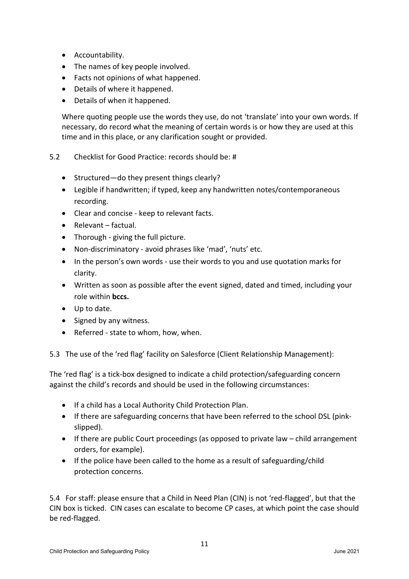- Accountability.
- The names of key people involved.
- Facts not opinions of what happened.
- Details of where it happened.
- Details of when it happened.

Where quoting people use the words they use, do not 'translate' into your own words. If necessary, do record what the meaning of certain words is or how they are used at this time and in this place, or any clarification sought or provided.

- 5.2 Checklist for Good Practice: records should be: #
	- Structured—do they present things clearly?
	- Legible if handwritten; if typed, keep any handwritten notes/contemporaneous recording.
	- Clear and concise keep to relevant facts.
	- Relevant factual.
	- Thorough giving the full picture.
	- Non-discriminatory avoid phrases like 'mad', 'nuts' etc.
	- In the person's own words use their words to you and use quotation marks for clarity.
	- Written as soon as possible after the event signed, dated and timed, including your role within **bccs.**
	- Up to date.
	- Signed by any witness.
	- Referred state to whom, how, when.

5.3 The use of the 'red flag' facility on Salesforce (Client Relationship Management):

The 'red flag' is a tick-box designed to indicate a child protection/safeguarding concern against the child's records and should be used in the following circumstances:

- If a child has a Local Authority Child Protection Plan.
- If there are safeguarding concerns that have been referred to the school DSL (pinkslipped).
- If there are public Court proceedings (as opposed to private law child arrangement orders, for example).
- If the police have been called to the home as a result of safeguarding/child protection concerns.

5.4 For staff: please ensure that a Child in Need Plan (CIN) is not 'red-flagged', but that the CIN box is ticked. CIN cases can escalate to become CP cases, at which point the case should be red-flagged.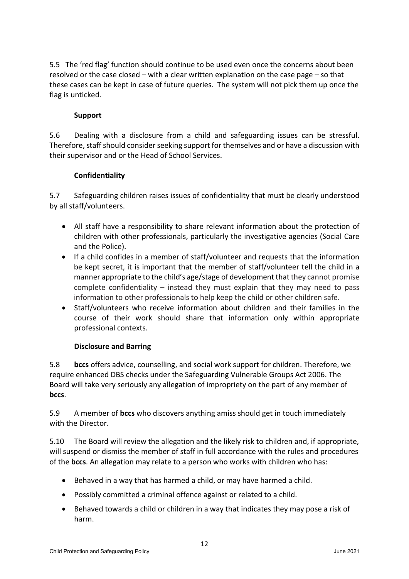5.5 The 'red flag' function should continue to be used even once the concerns about been resolved or the case closed – with a clear written explanation on the case page – so that these cases can be kept in case of future queries. The system will not pick them up once the flag is unticked.

## **Support**

5.6 Dealing with a disclosure from a child and safeguarding issues can be stressful. Therefore, staff should consider seeking support for themselves and or have a discussion with their supervisor and or the Head of School Services.

## **Confidentiality**

5.7 Safeguarding children raises issues of confidentiality that must be clearly understood by all staff/volunteers.

- All staff have a responsibility to share relevant information about the protection of children with other professionals, particularly the investigative agencies (Social Care and the Police).
- If a child confides in a member of staff/volunteer and requests that the information be kept secret, it is important that the member of staff/volunteer tell the child in a manner appropriate to the child's age/stage of development that they cannot promise complete confidentiality – instead they must explain that they may need to pass information to other professionals to help keep the child or other children safe.
- Staff/volunteers who receive information about children and their families in the course of their work should share that information only within appropriate professional contexts.

## **Disclosure and Barring**

5.8 **bccs** offers advice, counselling, and social work support for children. Therefore, we require enhanced DBS checks under the Safeguarding Vulnerable Groups Act 2006. The Board will take very seriously any allegation of impropriety on the part of any member of **bccs**.

5.9 A member of **bccs** who discovers anything amiss should get in touch immediately with the Director.

5.10 The Board will review the allegation and the likely risk to children and, if appropriate, will suspend or dismiss the member of staff in full accordance with the rules and procedures of the **bccs**. An allegation may relate to a person who works with children who has:

- Behaved in a way that has harmed a child, or may have harmed a child.
- Possibly committed a criminal offence against or related to a child.
- Behaved towards a child or children in a way that indicates they may pose a risk of harm.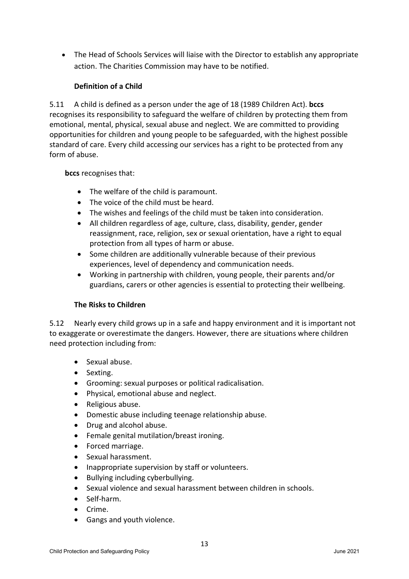• The Head of Schools Services will liaise with the Director to establish any appropriate action. The Charities Commission may have to be notified.

# **Definition of a Child**

5.11 A child is defined as a person under the age of 18 (1989 Children Act). **bccs** recognises its responsibility to safeguard the welfare of children by protecting them from emotional, mental, physical, sexual abuse and neglect. We are committed to providing opportunities for children and young people to be safeguarded, with the highest possible standard of care. Every child accessing our services has a right to be protected from any form of abuse.

## **bccs** recognises that:

- The welfare of the child is paramount.
- The voice of the child must be heard.
- The wishes and feelings of the child must be taken into consideration.
- All children regardless of age, culture, class, disability, gender, gender reassignment, race, religion, sex or sexual orientation, have a right to equal protection from all types of harm or abuse.
- Some children are additionally vulnerable because of their previous experiences, level of dependency and communication needs.
- Working in partnership with children, young people, their parents and/or guardians, carers or other agencies is essential to protecting their wellbeing.

## **The Risks to Children**

5.12 Nearly every child grows up in a safe and happy environment and it is important not to exaggerate or overestimate the dangers. However, there are situations where children need protection including from:

- Sexual abuse.
- Sexting.
- Grooming: sexual purposes or political radicalisation.
- Physical, emotional abuse and neglect.
- Religious abuse.
- Domestic abuse including teenage relationship abuse.
- Drug and alcohol abuse.
- Female genital mutilation/breast ironing.
- Forced marriage.
- Sexual harassment.
- Inappropriate supervision by staff or volunteers.
- Bullying including cyberbullying.
- Sexual violence and sexual harassment between children in schools.
- Self-harm.
- Crime.
- Gangs and youth violence.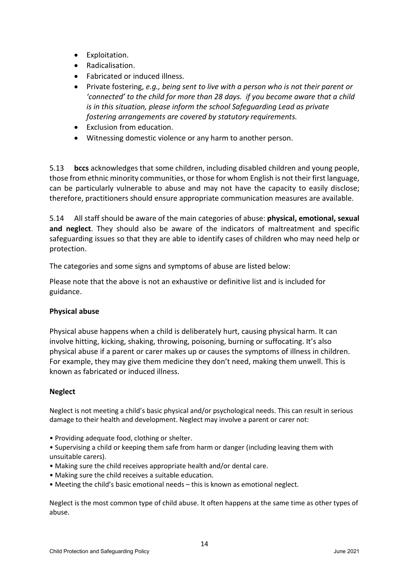- Exploitation.
- Radicalisation.
- Fabricated or induced illness.
- Private fostering, *e.g., being sent to live with a person who is not their parent or 'connected' to the child for more than 28 days. if you become aware that a child is in this situation, please inform the school Safeguarding Lead as private fostering arrangements are covered by statutory requirements.*
- Exclusion from education.
- Witnessing domestic violence or any harm to another person.

5.13 **bccs** acknowledges that some children, including disabled children and young people, those from ethnic minority communities, or those for whom English is not their first language, can be particularly vulnerable to abuse and may not have the capacity to easily disclose; therefore, practitioners should ensure appropriate communication measures are available.

5.14 All staff should be aware of the main categories of abuse: **physical, emotional, sexual and neglect**. They should also be aware of the indicators of maltreatment and specific safeguarding issues so that they are able to identify cases of children who may need help or protection.

The categories and some signs and symptoms of abuse are listed below:

Please note that the above is not an exhaustive or definitive list and is included for guidance.

## **Physical abuse**

Physical abuse happens when a child is deliberately hurt, causing physical harm. It can involve hitting, kicking, shaking, throwing, poisoning, burning or suffocating. It's also physical abuse if a parent or carer makes up or causes the symptoms of illness in children. For example, they may give them medicine they don't need, making them unwell. This is known as fabricated or induced illness.

#### **Neglect**

Neglect is not meeting a child's basic physical and/or psychological needs. This can result in serious damage to their health and development. Neglect may involve a parent or carer not:

- Providing adequate food, clothing or shelter.
- Supervising a child or keeping them safe from harm or danger (including leaving them with unsuitable carers).
- Making sure the child receives appropriate health and/or dental care.
- Making sure the child receives a suitable education.
- Meeting the child's basic emotional needs this is known as emotional neglect.

Neglect is the most common type of child abuse. It often happens at the same time as other types of abuse.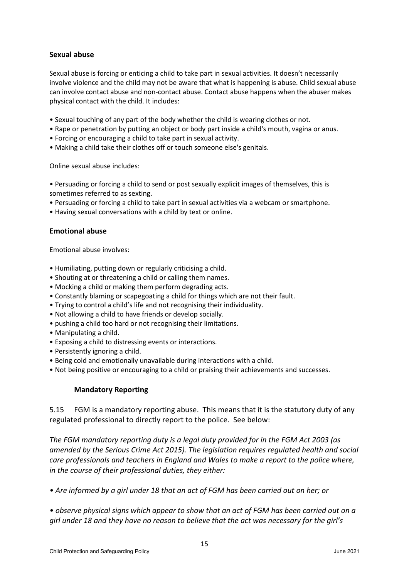#### **Sexual abuse**

Sexual abuse is forcing or enticing a child to take part in sexual activities. It doesn't necessarily involve violence and the child may not be aware that what is happening is abuse. Child sexual abuse can involve contact abuse and non-contact abuse. Contact abuse happens when the abuser makes physical contact with the child. It includes:

- Sexual touching of any part of the body whether the child is wearing clothes or not.
- Rape or penetration by putting an object or body part inside a child's mouth, vagina or anus.
- Forcing or encouraging a child to take part in sexual activity.
- Making a child take their clothes off or touch someone else's genitals.

Online sexual abuse includes:

- Persuading or forcing a child to send or post sexually explicit images of themselves, this is sometimes referred to as sexting.
- Persuading or forcing a child to take part in sexual activities via a webcam or smartphone.
- Having sexual conversations with a child by text or online.

#### **Emotional abuse**

Emotional abuse involves:

- Humiliating, putting down or regularly criticising a child.
- Shouting at or threatening a child or calling them names.
- Mocking a child or making them perform degrading acts.
- Constantly blaming or scapegoating a child for things which are not their fault.
- Trying to control a child's life and not recognising their individuality.
- Not allowing a child to have friends or develop socially.
- pushing a child too hard or not recognising their limitations.
- Manipulating a child.
- Exposing a child to distressing events or interactions.
- Persistently ignoring a child.
- Being cold and emotionally unavailable during interactions with a child.
- Not being positive or encouraging to a child or praising their achievements and successes.

#### **Mandatory Reporting**

5.15 FGM is a mandatory reporting abuse. This means that it is the statutory duty of any regulated professional to directly report to the police. See below:

*The FGM mandatory reporting duty is a legal duty provided for in the FGM Act 2003 (as amended by the Serious Crime Act 2015). The legislation requires regulated health and social care professionals and teachers in England and Wales to make a report to the police where, in the course of their professional duties, they either:* 

*• Are informed by a girl under 18 that an act of FGM has been carried out on her; or* 

*• observe physical signs which appear to show that an act of FGM has been carried out on a girl under 18 and they have no reason to believe that the act was necessary for the girl's*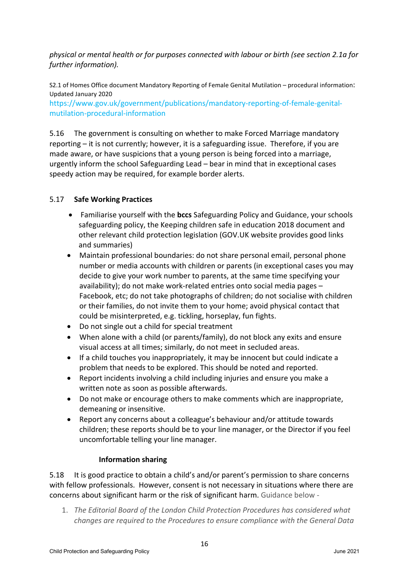*physical or mental health or for purposes connected with labour or birth (see section 2.1a for further information).* 

S2.1 of Homes Office document Mandatory Reporting of Female Genital Mutilation – procedural information: Updated January 2020

https://www.gov.uk/government/publications/mandatory-reporting-of-female-genitalmutilation-procedural-information

5.16 The government is consulting on whether to make Forced Marriage mandatory reporting – it is not currently; however, it is a safeguarding issue. Therefore, if you are made aware, or have suspicions that a young person is being forced into a marriage, urgently inform the school Safeguarding Lead – bear in mind that in exceptional cases speedy action may be required, for example border alerts.

## 5.17 **Safe Working Practices**

- Familiarise yourself with the **bccs** Safeguarding Policy and Guidance, your schools safeguarding policy, the Keeping children safe in education 2018 document and other relevant child protection legislation (GOV.UK website provides good links and summaries)
- Maintain professional boundaries: do not share personal email, personal phone number or media accounts with children or parents (in exceptional cases you may decide to give your work number to parents, at the same time specifying your availability); do not make work-related entries onto social media pages – Facebook, etc; do not take photographs of children; do not socialise with children or their families, do not invite them to your home; avoid physical contact that could be misinterpreted, e.g. tickling, horseplay, fun fights.
- Do not single out a child for special treatment
- When alone with a child (or parents/family), do not block any exits and ensure visual access at all times; similarly, do not meet in secluded areas.
- If a child touches you inappropriately, it may be innocent but could indicate a problem that needs to be explored. This should be noted and reported.
- Report incidents involving a child including injuries and ensure you make a written note as soon as possible afterwards.
- Do not make or encourage others to make comments which are inappropriate, demeaning or insensitive.
- Report any concerns about a colleague's behaviour and/or attitude towards children; these reports should be to your line manager, or the Director if you feel uncomfortable telling your line manager.

## **Information sharing**

5.18 It is good practice to obtain a child's and/or parent's permission to share concerns with fellow professionals. However, consent is not necessary in situations where there are concerns about significant harm or the risk of significant harm. Guidance below -

1. *The Editorial Board of the London Child Protection Procedures has considered what changes are required to the Procedures to ensure compliance with the General Data*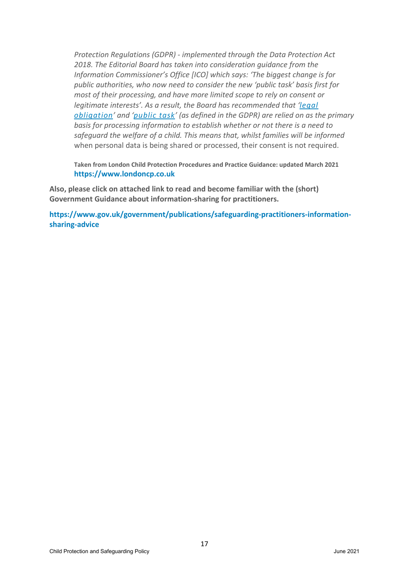*Protection Regulations (GDPR) - implemented through the Data Protection Act 2018. The Editorial Board has taken into consideration guidance from the Information Commissioner's Office [ICO] which says: 'The biggest change is for public authorities, who now need to consider the new 'public task' basis first for most of their processing, and have more limited scope to rely on consent or legitimate interests'. As a result, the Board has recommended that ['legal](https://ico.org.uk/for-organisations/guide-to-the-general-data-protection-regulation-gdpr/lawful-basis-for-processing/legal-obligation/) [obligation'](https://ico.org.uk/for-organisations/guide-to-the-general-data-protection-regulation-gdpr/lawful-basis-for-processing/legal-obligation/) and ['public task'](https://ico.org.uk/for-organisations/guide-to-the-general-data-protection-regulation-gdpr/lawful-basis-for-processing/public-task/) (as defined in the GDPR) are relied on as the primary basis for processing information to establish whether or not there is a need to safeguard the welfare of a child. This means that, whilst families will be informed* when personal data is being shared or processed, their consent is not required.

**Taken from London Child Protection Procedures and Practice Guidance: updated March 2021 [https://www.londoncp.co.uk](https://www.londoncp.co.uk/)**

**Also, please click on attached link to read and become familiar with the (short) Government Guidance about information-sharing for practitioners.**

**[https://www.gov.uk/government/publications/safeguarding-practitioners-information](https://www.gov.uk/government/publications/safeguarding-practitioners-information-sharing-advice)[sharing-advice](https://www.gov.uk/government/publications/safeguarding-practitioners-information-sharing-advice)**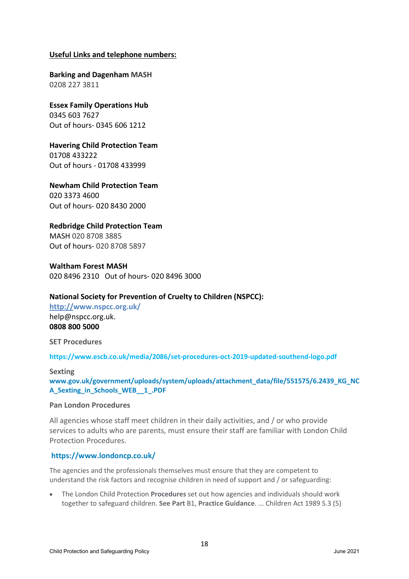#### **Useful Links and telephone numbers:**

**Barking and Dagenham MASH** 0208 227 3811

**Essex Family Operations Hub** 0345 603 7627 Out of hours- 0345 606 1212

**Havering Child Protection Team** 01708 433222 Out of hours - 01708 433999

**Newham Child Protection Team** 020 3373 4600 Out of hours- 020 8430 2000

**Redbridge Child Protection Team**

MASH 020 8708 3885 Out of hours- 020 8708 5897

**Waltham Forest MASH** 020 8496 2310 Out of hours- 020 8496 3000

#### **National Society for Prevention of Cruelty to Children (NSPCC):**

**http:/[/www.nspcc.org.uk/](http://www.nspcc.org.uk/)** help@nspcc.org.uk. **0808 800 5000**

**SET Procedures**

**<https://www.escb.co.uk/media/2086/set-procedures-oct-2019-updated-southend-logo.pdf>**

#### **Sexting**

**[www.gov.uk/government/uploads/system/uploads/attachment\\_data/file/551575/6.2439\\_KG\\_NC](http://www.gov.uk/government/uploads/system/uploads/attachment_data/file/551575/6.2439_KG_NCA_Sexting_in_Schools_WEB__1_.PDF) [A\\_Sexting\\_in\\_Schools\\_WEB\\_\\_1\\_.PDF](http://www.gov.uk/government/uploads/system/uploads/attachment_data/file/551575/6.2439_KG_NCA_Sexting_in_Schools_WEB__1_.PDF)**

#### **Pan London Procedures**

All agencies whose staff meet children in their daily activities, and / or who provide services to adults who are parents, must ensure their staff are familiar with London Child Protection Procedures.

#### **<https://www.londoncp.co.uk/>**

The agencies and the professionals themselves must ensure that they are competent to understand the risk factors and recognise children in need of support and / or safeguarding:

• The London Child Protection **Procedures** set out how agencies and individuals should work together to safeguard children. **See Part** B1, **Practice Guidance**. ... Children Act 1989 S.3 (5)